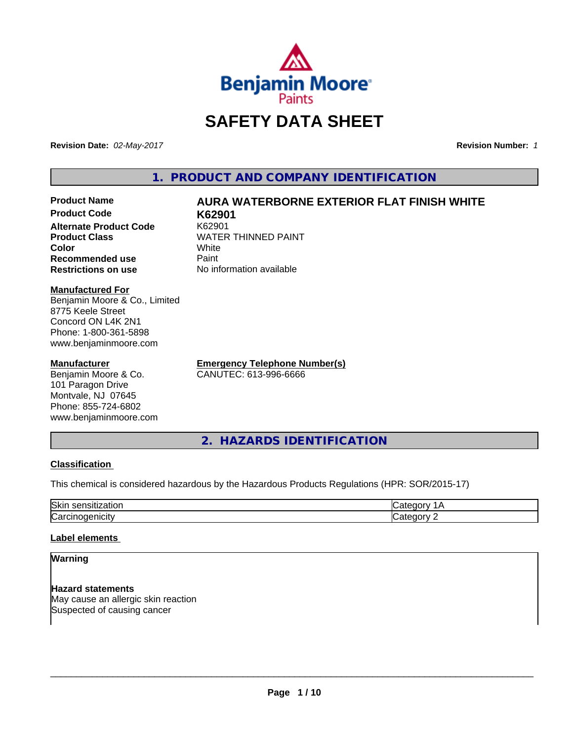

# **SAFETY DATA SHEET**

**Revision Date:** *02-May-2017* **Revision Number:** *1*

**1. PRODUCT AND COMPANY IDENTIFICATION**

# **Product Name AURA WATERBORNE EXTERIOR FLAT FINISH WHITE**

**Product Code K62901 Alternate Product Code Product Class** WATER THINNED PAINT<br> **Color Color** White White **Recommended use** Paint **Restrictions on use** No information available

**Manufactured For** Benjamin Moore & Co., Limited 8775 Keele Street Concord ON L4K 2N1

Phone: 1-800-361-5898 www.benjaminmoore.com

# **Manufacturer**

Benjamin Moore & Co. 101 Paragon Drive Montvale, NJ 07645 Phone: 855-724-6802 www.benjaminmoore.com **Emergency Telephone Number(s)** CANUTEC: 613-996-6666

**2. HAZARDS IDENTIFICATION**

#### **Classification**

This chemical is considered hazardous by the Hazardous Products Regulations (HPR: SOR/2015-17)

| Skir<br>-<br>.     |  |
|--------------------|--|
| $\sim$<br>.<br>ιUα |  |

# **Label elements**

# **Warning**

**Hazard statements** May cause an allergic skin reaction Suspected of causing cancer

 $\overline{\phantom{a}}$  ,  $\overline{\phantom{a}}$  ,  $\overline{\phantom{a}}$  ,  $\overline{\phantom{a}}$  ,  $\overline{\phantom{a}}$  ,  $\overline{\phantom{a}}$  ,  $\overline{\phantom{a}}$  ,  $\overline{\phantom{a}}$  ,  $\overline{\phantom{a}}$  ,  $\overline{\phantom{a}}$  ,  $\overline{\phantom{a}}$  ,  $\overline{\phantom{a}}$  ,  $\overline{\phantom{a}}$  ,  $\overline{\phantom{a}}$  ,  $\overline{\phantom{a}}$  ,  $\overline{\phantom{a}}$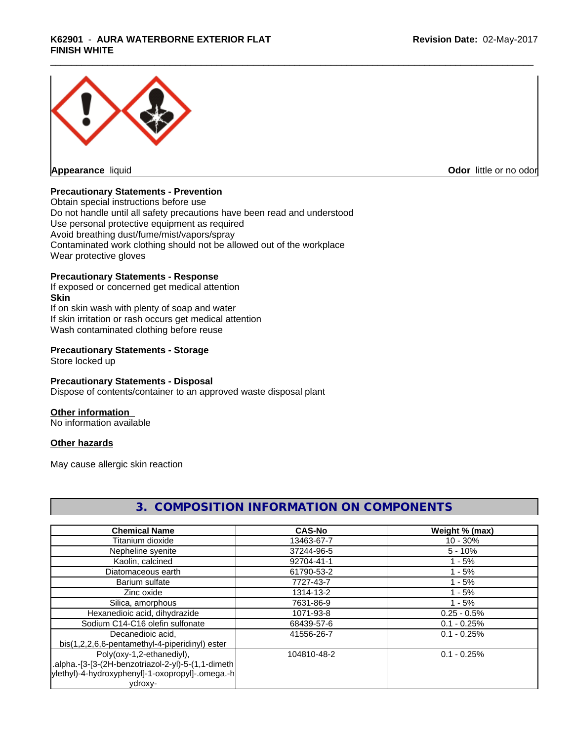# \_\_\_\_\_\_\_\_\_\_\_\_\_\_\_\_\_\_\_\_\_\_\_\_\_\_\_\_\_\_\_\_\_\_\_\_\_\_\_\_\_\_\_\_\_\_\_\_\_\_\_\_\_\_\_\_\_\_\_\_\_\_\_\_\_\_\_\_\_\_\_\_\_\_\_\_\_\_\_\_\_\_\_\_\_\_\_\_\_\_\_\_\_ **K62901** - **AURA WATERBORNE EXTERIOR FLAT FINISH WHITE**



**Appearance** liquid **Contract Contract Contract Contract Contract Contract Contract Contract Contract Contract Contract Contract Contract Contract Contract Contract Contract Contract Contract Contract Contract Contract Con** 

# **Precautionary Statements - Prevention**

Obtain special instructions before use Do not handle until all safety precautions have been read and understood Use personal protective equipment as required Avoid breathing dust/fume/mist/vapors/spray Contaminated work clothing should not be allowed out of the workplace Wear protective gloves

### **Precautionary Statements - Response**

If exposed or concerned get medical attention **Skin** If on skin wash with plenty of soap and water If skin irritation or rash occurs get medical attention Wash contaminated clothing before reuse

### **Precautionary Statements - Storage**

Store locked up

#### **Precautionary Statements - Disposal**

Dispose of contents/container to an approved waste disposal plant

#### **Other information**

No information available

#### **Other hazards**

May cause allergic skin reaction

| <b>Chemical Name</b>                                | <b>CAS-No</b> | Weight % (max) |
|-----------------------------------------------------|---------------|----------------|
| Titanium dioxide                                    | 13463-67-7    | $10 - 30%$     |
| Nepheline syenite                                   | 37244-96-5    | $5 - 10%$      |
| Kaolin, calcined                                    | 92704-41-1    | $1 - 5%$       |
| Diatomaceous earth                                  | 61790-53-2    | $1 - 5%$       |
| Barium sulfate                                      | 7727-43-7     | $1 - 5%$       |
| Zinc oxide                                          | 1314-13-2     | $1 - 5%$       |
| Silica, amorphous                                   | 7631-86-9     | $1 - 5%$       |
| Hexanedioic acid, dihydrazide                       | 1071-93-8     | $0.25 - 0.5%$  |
| Sodium C14-C16 olefin sulfonate                     | 68439-57-6    | $0.1 - 0.25%$  |
| Decanedioic acid.                                   | 41556-26-7    | $0.1 - 0.25%$  |
| bis(1,2,2,6,6-pentamethyl-4-piperidinyl) ester      |               |                |
| Poly(oxy-1,2-ethanediyl),                           | 104810-48-2   | $0.1 - 0.25%$  |
| .alpha.-[3-[3-(2H-benzotriazol-2-yl)-5-(1,1-dimeth) |               |                |
| ylethyl)-4-hydroxyphenyl]-1-oxopropyl]-.omega.-h    |               |                |
| ydroxy-                                             |               |                |

# **3. COMPOSITION INFORMATION ON COMPONENTS**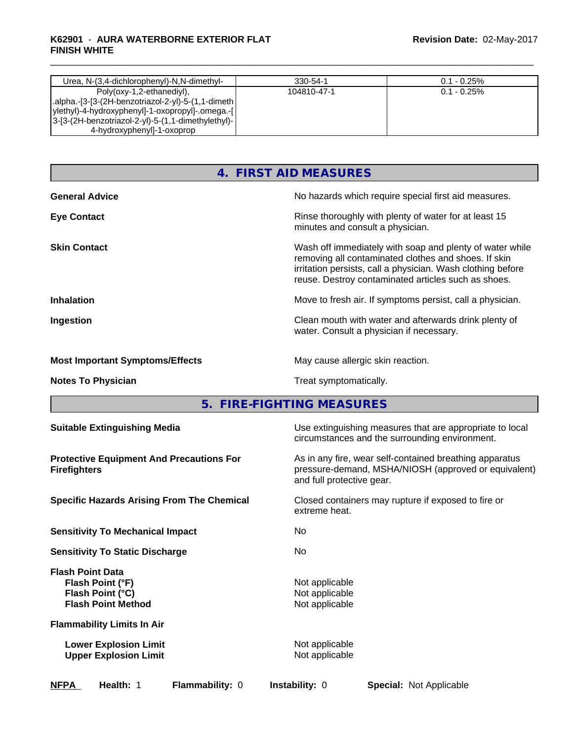## \_\_\_\_\_\_\_\_\_\_\_\_\_\_\_\_\_\_\_\_\_\_\_\_\_\_\_\_\_\_\_\_\_\_\_\_\_\_\_\_\_\_\_\_\_\_\_\_\_\_\_\_\_\_\_\_\_\_\_\_\_\_\_\_\_\_\_\_\_\_\_\_\_\_\_\_\_\_\_\_\_\_\_\_\_\_\_\_\_\_\_\_\_ **K62901** - **AURA WATERBORNE EXTERIOR FLAT FINISH WHITE**

| Urea, N-(3,4-dichlorophenyl)-N,N-dimethyl-         | 330-54-1    | $0.1 - 0.25\%$ |
|----------------------------------------------------|-------------|----------------|
| Poly(oxy-1,2-ethanediyl),                          | 104810-47-1 | $0.1 - 0.25\%$ |
| alpha.-[3-[3-(2H-benzotriazol-2-yl)-5-(1,1-dimeth. |             |                |
| ylethyl)-4-hydroxyphenyl]-1-oxopropyl]-.omega.-[   |             |                |
| 3-[3-(2H-benzotriazol-2-yl)-5-(1,1-dimethylethyl)- |             |                |
| 4-hydroxyphenyl]-1-oxoprop                         |             |                |

# **4. FIRST AID MEASURES**

| <b>General Advice</b>                  | No hazards which require special first aid measures.                                                                                                                                                                                   |
|----------------------------------------|----------------------------------------------------------------------------------------------------------------------------------------------------------------------------------------------------------------------------------------|
| <b>Eye Contact</b>                     | Rinse thoroughly with plenty of water for at least 15<br>minutes and consult a physician.                                                                                                                                              |
| <b>Skin Contact</b>                    | Wash off immediately with soap and plenty of water while<br>removing all contaminated clothes and shoes. If skin<br>irritation persists, call a physician. Wash clothing before<br>reuse. Destroy contaminated articles such as shoes. |
| <b>Inhalation</b>                      | Move to fresh air. If symptoms persist, call a physician.                                                                                                                                                                              |
| Ingestion                              | Clean mouth with water and afterwards drink plenty of<br>water. Consult a physician if necessary.                                                                                                                                      |
| <b>Most Important Symptoms/Effects</b> | May cause allergic skin reaction.                                                                                                                                                                                                      |
| <b>Notes To Physician</b>              | Treat symptomatically.                                                                                                                                                                                                                 |

**5. FIRE-FIGHTING MEASURES**

| <b>Suitable Extinguishing Media</b>                                                          | Use extinguishing measures that are appropriate to local<br>circumstances and the surrounding environment.                                   |  |  |
|----------------------------------------------------------------------------------------------|----------------------------------------------------------------------------------------------------------------------------------------------|--|--|
| <b>Protective Equipment And Precautions For</b><br><b>Firefighters</b>                       | As in any fire, wear self-contained breathing apparatus<br>pressure-demand, MSHA/NIOSH (approved or equivalent)<br>and full protective gear. |  |  |
| <b>Specific Hazards Arising From The Chemical</b>                                            | Closed containers may rupture if exposed to fire or<br>extreme heat.                                                                         |  |  |
| <b>Sensitivity To Mechanical Impact</b>                                                      | No                                                                                                                                           |  |  |
| <b>Sensitivity To Static Discharge</b>                                                       | No                                                                                                                                           |  |  |
| <b>Flash Point Data</b><br>Flash Point (°F)<br>Flash Point (°C)<br><b>Flash Point Method</b> | Not applicable<br>Not applicable<br>Not applicable                                                                                           |  |  |
| <b>Flammability Limits In Air</b>                                                            |                                                                                                                                              |  |  |
| <b>Lower Explosion Limit</b><br><b>Upper Explosion Limit</b>                                 | Not applicable<br>Not applicable                                                                                                             |  |  |
| <b>NFPA</b><br>Health: 1<br><b>Flammability: 0</b>                                           | <b>Instability: 0</b><br><b>Special: Not Applicable</b>                                                                                      |  |  |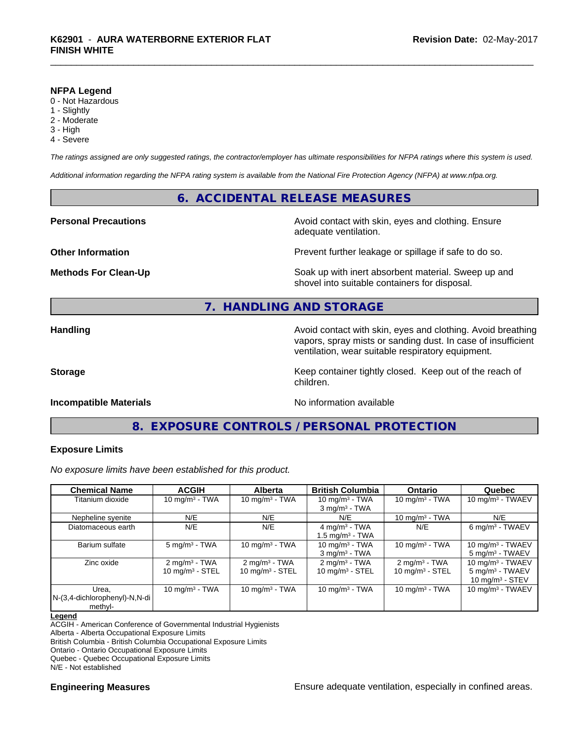#### **NFPA Legend**

- 0 Not Hazardous
- 1 Slightly
- 2 Moderate
- 3 High
- 4 Severe

*The ratings assigned are only suggested ratings, the contractor/employer has ultimate responsibilities for NFPA ratings where this system is used.*

*Additional information regarding the NFPA rating system is available from the National Fire Protection Agency (NFPA) at www.nfpa.org.*

# **6. ACCIDENTAL RELEASE MEASURES**

#### **Personal Precautions Precautions** Avoid contact with skin, eyes and clothing. Ensure

**Other Information Other Information Prevent further leakage or spillage if safe to do so.** 

**Methods For Clean-Up Example 20 All 20 All 20 All 20 Soak up with inert absorbent material. Sweep up and** shovel into suitable containers for disposal.

# **7. HANDLING AND STORAGE**

**Handling Handling Avoid contact with skin, eyes and clothing. Avoid breathing** vapors, spray mists or sanding dust. In case of insufficient ventilation, wear suitable respiratory equipment.

**Storage Keep container tightly closed. Keep out of the reach of Keep** container tightly closed. Keep out of the reach of children.

#### **Incompatible Materials Incompatible Materials No information available**

adequate ventilation.

# **8. EXPOSURE CONTROLS / PERSONAL PROTECTION**

#### **Exposure Limits**

*No exposure limits have been established for this product.*

| <b>Chemical Name</b>                              | <b>ACGIH</b>                                           | <b>Alberta</b>                                         | <b>British Columbia</b>                                | <b>Ontario</b>                                 | Quebec                                                                  |
|---------------------------------------------------|--------------------------------------------------------|--------------------------------------------------------|--------------------------------------------------------|------------------------------------------------|-------------------------------------------------------------------------|
| Titanium dioxide                                  | $10 \text{ mg/m}^3$ - TWA                              | 10 mg/m $3 - TWA$                                      | 10 mg/m $3$ - TWA<br>$3$ mg/m $3$ - TWA                | 10 mg/m $3$ - TWA                              | $10 \text{ mg/m}^3$ - TWAEV                                             |
| Nepheline syenite                                 | N/E                                                    | N/E                                                    | N/E                                                    | 10 mg/m $3$ - TWA                              | N/E                                                                     |
| Diatomaceous earth                                | N/E                                                    | N/E                                                    | 4 mg/m $3$ - TWA<br>1.5 mg/m <sup>3</sup> - TWA        | N/E                                            | 6 mg/m <sup>3</sup> - TWAEV                                             |
| Barium sulfate                                    | $5 \text{ mg/m}^3$ - TWA                               | 10 $mq/m3$ - TWA                                       | $10 \text{ mg/m}^3$ - TWA<br>$3 \text{ mg/m}^3$ - TWA  | 10 mg/m $3$ - TWA                              | 10 mg/m $3 - TWAEV$<br>$5 \text{ mg/m}^3$ - TWAEV                       |
| Zinc oxide                                        | $2 \text{ mg/m}^3$ - TWA<br>$10 \text{ mg/m}^3$ - STEL | $2 \text{ mg/m}^3$ - TWA<br>$10 \text{ mg/m}^3$ - STEL | $2 \text{ mg/m}^3$ - TWA<br>$10 \text{ mg/m}^3$ - STEL | $2 \text{ mg/m}^3$ - TWA<br>10 mg/m $3 -$ STEL | 10 mg/m $3$ - TWAEV<br>$5 \text{ mg/m}^3$ - TWAEV<br>10 $mq/m^3$ - STEV |
| Urea.<br>N-(3,4-dichlorophenyl)-N,N-di<br>methyl- | 10 mg/m $3$ - TWA                                      | 10 mg/m $3$ - TWA                                      | 10 mg/m $3$ - TWA                                      | 10 mg/m $3$ - TWA                              | 10 mg/m $3$ - TWAEV                                                     |

#### **Legend**

ACGIH - American Conference of Governmental Industrial Hygienists

Alberta - Alberta Occupational Exposure Limits

British Columbia - British Columbia Occupational Exposure Limits

Ontario - Ontario Occupational Exposure Limits

Quebec - Quebec Occupational Exposure Limits

N/E - Not established

**Engineering Measures Ensure** Ensure adequate ventilation, especially in confined areas.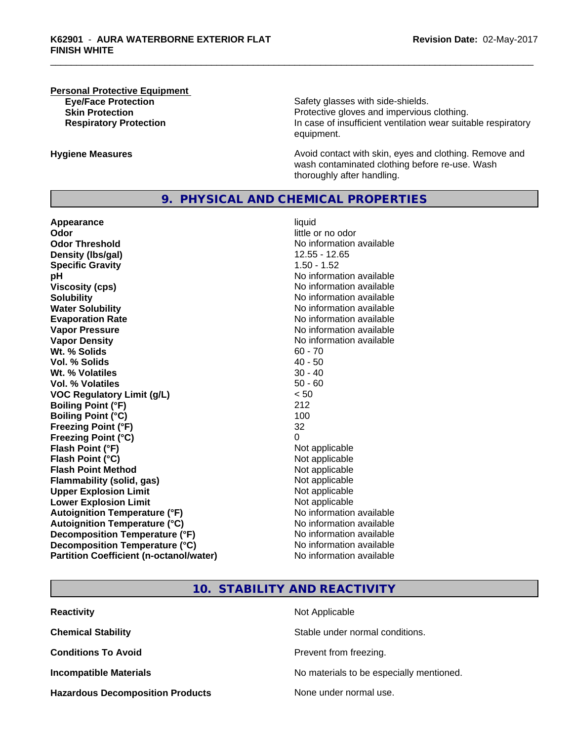# **Personal Protective Equipment**

**Eye/Face Protection Safety glasses with side-shields. Skin Protection Protection Protective gloves and impervious clothing. Respiratory Protection In case of insufficient ventilation wear suitable respiratory** equipment.

**Hygiene Measures Avoid contact with skin, eyes and clothing. Remove and Avoid contact with skin, eyes and clothing. Remove and Avoid contact with skin, eyes and clothing. Remove and** wash contaminated clothing before re-use. Wash thoroughly after handling.

### **9. PHYSICAL AND CHEMICAL PROPERTIES**

**Appearance** liquid **Odor** little or no odor **Odor Threshold No information available No information available Density (lbs/gal)** 12.55 - 12.65 **Specific Gravity** 1.50 - 1.52 **pH pH**  $\blacksquare$ **Viscosity (cps)** No information available **Solubility Note 2008 Note 2008 Note 2008 Note 2008 Note 2008 Note 2008 Note 2008 Note 2008 Note 2008 Note 2008 Note 2008 Note 2008 Note 2008 Note 2008 Note 2008 Note 2008 Note 2008 Note Water Solubility** No information available **Evaporation Rate No information available No information available Vapor Pressure** No information available **Vapor Density No information available** No information available **Wt. % Solids** 60 - 70 **Vol. % Solids** 40 - 50 **Wt. % Volatiles** 30 - 40 **Vol. % Volatiles** 50 - 60 **VOC Regulatory Limit (g/L)** < 50 **Boiling Point (°F)** 212 **Boiling Point**  $(°C)$  100 **Freezing Point (°F)** 32 **Freezing Point (°C)** 0 **Flash Point (°F)**<br> **Flash Point (°C)**<br> **Flash Point (°C)**<br> **C** Not applicable **Flash Point (°C) Flash Point Method Not applicable Not applicable Flammability (solid, gas)** Not applicable **Upper Explosion Limit** Not applicable **Lower Explosion Limit Contract Contract Contract Contract Contract Contract Contract Contract Contract Contract Contract Contract Contract Contract Contract Contract Contract Contract Contract Contract Contract Contract Autoignition Temperature (°F)** No information available **Autoignition Temperature (°C)**<br> **Decomposition Temperature (°F)** No information available **Decomposition Temperature (°F) Decomposition Temperature (°C)** No information available **Partition Coefficient (n-octanol/water)** No information available

# **10. STABILITY AND REACTIVITY**

| <b>Reactivity</b>                       | Not Applicable                           |
|-----------------------------------------|------------------------------------------|
| <b>Chemical Stability</b>               | Stable under normal conditions.          |
| <b>Conditions To Avoid</b>              | Prevent from freezing.                   |
| <b>Incompatible Materials</b>           | No materials to be especially mentioned. |
| <b>Hazardous Decomposition Products</b> | None under normal use.                   |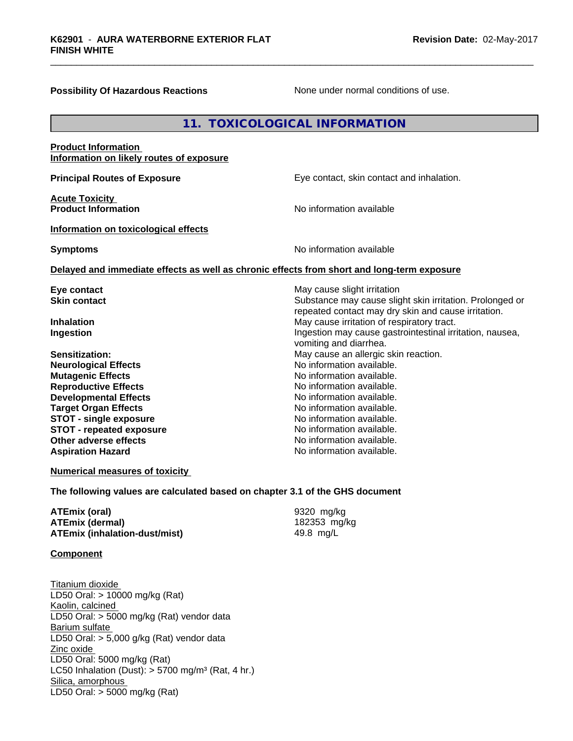#### **Possibility Of Hazardous Reactions** None under normal conditions of use.

# **11. TOXICOLOGICAL INFORMATION**

#### **Product Information Information on likely routes of exposure**

**Principal Routes of Exposure Exposure** Eye contact, skin contact and inhalation.

**Acute Toxicity Product Information** 

**Information on toxicological effects**

**Symptoms** No information available

#### **Delayed and immediate effects as well as chronic effects from short and long-term exposure**

| Eye contact                     | May cause slight irritation                              |  |  |
|---------------------------------|----------------------------------------------------------|--|--|
| <b>Skin contact</b>             | Substance may cause slight skin irritation. Prolonged or |  |  |
|                                 | repeated contact may dry skin and cause irritation.      |  |  |
| <b>Inhalation</b>               | May cause irritation of respiratory tract.               |  |  |
| Ingestion                       | Ingestion may cause gastrointestinal irritation, nausea, |  |  |
|                                 | vomiting and diarrhea.                                   |  |  |
| Sensitization:                  | May cause an allergic skin reaction.                     |  |  |
| <b>Neurological Effects</b>     | No information available.                                |  |  |
| <b>Mutagenic Effects</b>        | No information available.                                |  |  |
| <b>Reproductive Effects</b>     | No information available.                                |  |  |
| <b>Developmental Effects</b>    | No information available.                                |  |  |
| <b>Target Organ Effects</b>     | No information available.                                |  |  |
| <b>STOT - single exposure</b>   | No information available.                                |  |  |
| <b>STOT - repeated exposure</b> | No information available.                                |  |  |
| Other adverse effects           | No information available.                                |  |  |
| <b>Aspiration Hazard</b>        | No information available.                                |  |  |

#### **Numerical measures of toxicity**

**The following values are calculated based on chapter 3.1 of the GHS document**

| ATEmix (oral)                        | 9320 mg/ka   |
|--------------------------------------|--------------|
| <b>ATEmix (dermal)</b>               | 182353 mg/kg |
| <b>ATEmix (inhalation-dust/mist)</b> | 49.8 mg/L    |

#### **Component**

Titanium dioxide LD50 Oral: > 10000 mg/kg (Rat) Kaolin, calcined LD50 Oral: > 5000 mg/kg (Rat) vendor data Barium sulfate LD50 Oral:  $> 5,000$  g/kg (Rat) vendor data Zinc oxide LD50 Oral: 5000 mg/kg (Rat) LC50 Inhalation (Dust):  $> 5700$  mg/m<sup>3</sup> (Rat, 4 hr.) Silica, amorphous LD50 Oral: > 5000 mg/kg (Rat)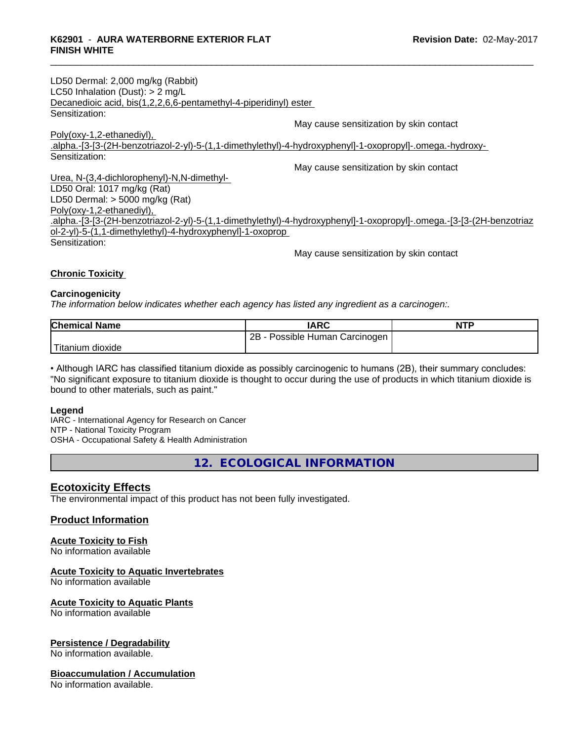| LD50 Dermal: 2,000 mg/kg (Rabbit)                                                                                     |
|-----------------------------------------------------------------------------------------------------------------------|
| LC50 Inhalation (Dust): $> 2$ mg/L                                                                                    |
| Decanedioic acid, bis(1,2,2,6,6-pentamethyl-4-piperidinyl) ester                                                      |
| Sensitization:                                                                                                        |
| May cause sensitization by skin contact                                                                               |
| Poly(oxy-1,2-ethanediyl),                                                                                             |
| .alpha.-[3-[3-(2H-benzotriazol-2-yl)-5-(1,1-dimethylethyl)-4-hydroxyphenyl]-1-oxopropyl]-.omega.-hydroxy-             |
| Sensitization:                                                                                                        |
| May cause sensitization by skin contact                                                                               |
| Urea, N-(3,4-dichlorophenyl)-N,N-dimethyl-                                                                            |
| LD50 Oral: 1017 mg/kg (Rat)                                                                                           |
| LD50 Dermal: $>$ 5000 mg/kg (Rat)                                                                                     |
| Poly(oxy-1,2-ethanediyl),                                                                                             |
| .alpha.-[3-[3-(2H-benzotriazol-2-yl)-5-(1,1-dimethylethyl)-4-hydroxyphenyl]-1-oxopropyl]-.omega.-[3-[3-(2H-benzotriaz |
| ol-2-yl)-5-(1,1-dimethylethyl)-4-hydroxyphenyl]-1-oxoprop                                                             |
| Sensitization:                                                                                                        |
|                                                                                                                       |

#### May cause sensitization by skin contact

#### **Chronic Toxicity**

#### **Carcinogenicity**

*The information below indicateswhether each agency has listed any ingredient as a carcinogen:.*

| <b>Chemical Name</b>   | <b>IARC</b>                          | <b>NTF</b> |
|------------------------|--------------------------------------|------------|
|                        | 2B<br>Possible Human<br>ı Carcinogen |            |
| Titanium J<br>⊦dioxide |                                      |            |

• Although IARC has classified titanium dioxide as possibly carcinogenic to humans (2B), their summary concludes: "No significant exposure to titanium dioxide is thought to occur during the use of products in which titanium dioxide is bound to other materials, such as paint."

#### **Legend**

IARC - International Agency for Research on Cancer NTP - National Toxicity Program OSHA - Occupational Safety & Health Administration

**12. ECOLOGICAL INFORMATION**

#### **Ecotoxicity Effects**

The environmental impact of this product has not been fully investigated.

### **Product Information**

#### **Acute Toxicity to Fish**

No information available

### **Acute Toxicity to Aquatic Invertebrates**

No information available

#### **Acute Toxicity to Aquatic Plants**

No information available

#### **Persistence / Degradability**

No information available.

#### **Bioaccumulation / Accumulation**

No information available.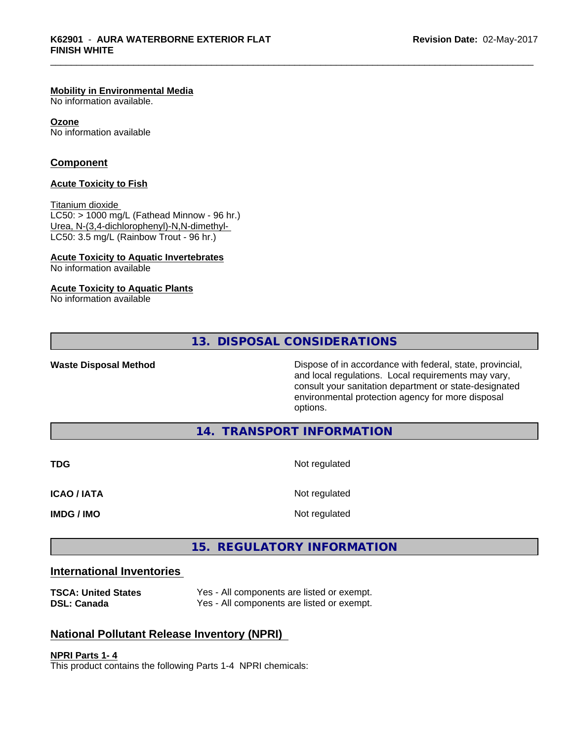#### **Mobility in Environmental Media**

No information available.

#### **Ozone**

No information available

### **Component**

#### **Acute Toxicity to Fish**

Titanium dioxide

 $LC50:$  > 1000 mg/L (Fathead Minnow - 96 hr.) Urea, N-(3,4-dichlorophenyl)-N,N-dimethyl- LC50: 3.5 mg/L (Rainbow Trout - 96 hr.)

#### **Acute Toxicity to Aquatic Invertebrates**

No information available

#### **Acute Toxicity to Aquatic Plants**

No information available

**13. DISPOSAL CONSIDERATIONS**

Waste Disposal Method **Dispose of in accordance with federal, state, provincial,** and local regulations. Local requirements may vary, consult your sanitation department or state-designated environmental protection agency for more disposal options.

### **14. TRANSPORT INFORMATION**

| <b>TDG</b>         | Not regulated |
|--------------------|---------------|
| <b>ICAO / IATA</b> | Not regulated |
| <b>IMDG / IMO</b>  | Not regulated |

# **15. REGULATORY INFORMATION**

# **International Inventories**

| <b>TSCA: United States</b> | Yes - All components are listed or exempt. |
|----------------------------|--------------------------------------------|
| DSL: Canada                | Yes - All components are listed or exempt. |

# **National Pollutant Release Inventory (NPRI)**

**NPRI Parts 1- 4**

This product contains the following Parts 1-4 NPRI chemicals: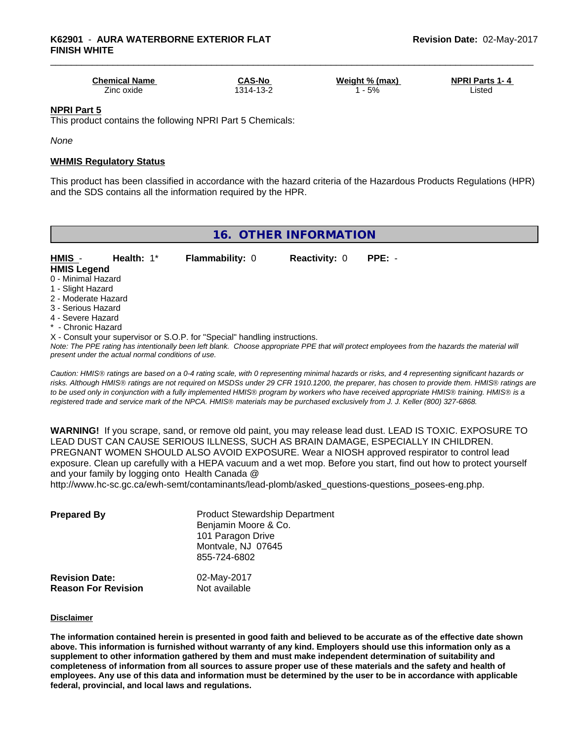| <b>Chemical Name</b> | <b>CAS-No</b> | Weight % (max) | <b>NPRI Parts 1-4</b> |
|----------------------|---------------|----------------|-----------------------|
| -<br>Zinc oxide l    | 314-13-2      | 5%             | .isted                |

#### **NPRI Part 5**

This product contains the following NPRI Part 5 Chemicals:

*None*

#### **WHMIS Regulatory Status**

This product has been classified in accordance with the hazard criteria of the Hazardous Products Regulations (HPR) and the SDS contains all the information required by the HPR.

| 16. OTHER INFORMATION                                                                                                                                  |                        |                      |                                                                                                                                               |  |  |  |
|--------------------------------------------------------------------------------------------------------------------------------------------------------|------------------------|----------------------|-----------------------------------------------------------------------------------------------------------------------------------------------|--|--|--|
| HMIS -<br>Health: $1^*$<br><b>HMIS Legend</b>                                                                                                          | <b>Flammability: 0</b> | <b>Reactivity: 0</b> | $PPE: -$                                                                                                                                      |  |  |  |
| 0 - Minimal Hazard<br>1 - Slight Hazard                                                                                                                |                        |                      |                                                                                                                                               |  |  |  |
| 2 - Moderate Hazard<br>3 - Serious Hazard                                                                                                              |                        |                      |                                                                                                                                               |  |  |  |
| 4 - Severe Hazard                                                                                                                                      |                        |                      |                                                                                                                                               |  |  |  |
| * - Chronic Hazard<br>X - Consult your supervisor or S.O.P. for "Special" handling instructions.<br>present under the actual normal conditions of use. |                        |                      | Note: The PPE rating has intentionally been left blank. Choose appropriate PPE that will protect employees from the hazards the material will |  |  |  |

*Caution: HMISÒ ratings are based on a 0-4 rating scale, with 0 representing minimal hazards or risks, and 4 representing significant hazards or risks. Although HMISÒ ratings are not required on MSDSs under 29 CFR 1910.1200, the preparer, has chosen to provide them. HMISÒ ratings are to be used only in conjunction with a fully implemented HMISÒ program by workers who have received appropriate HMISÒ training. HMISÒ is a registered trade and service mark of the NPCA. HMISÒ materials may be purchased exclusively from J. J. Keller (800) 327-6868.*

**WARNING!** If you scrape, sand, or remove old paint, you may release lead dust. LEAD IS TOXIC. EXPOSURE TO LEAD DUST CAN CAUSE SERIOUS ILLNESS, SUCH AS BRAIN DAMAGE, ESPECIALLY IN CHILDREN. PREGNANT WOMEN SHOULD ALSO AVOID EXPOSURE.Wear a NIOSH approved respirator to control lead exposure. Clean up carefully with a HEPA vacuum and a wet mop. Before you start, find out how to protect yourself and your family by logging onto Health Canada @

http://www.hc-sc.gc.ca/ewh-semt/contaminants/lead-plomb/asked\_questions-questions\_posees-eng.php.

| <b>Prepared By</b>                                  | <b>Product Stewardship Department</b><br>Benjamin Moore & Co.<br>101 Paragon Drive<br>Montvale, NJ 07645<br>855-724-6802 |  |
|-----------------------------------------------------|--------------------------------------------------------------------------------------------------------------------------|--|
| <b>Revision Date:</b><br><b>Reason For Revision</b> | 02-May-2017<br>Not available                                                                                             |  |

#### **Disclaimer**

The information contained herein is presented in good faith and believed to be accurate as of the effective date shown above. This information is furnished without warranty of any kind. Employers should use this information only as a **supplement to other information gathered by them and must make independent determination of suitability and** completeness of information from all sources to assure proper use of these materials and the safety and health of employees. Any use of this data and information must be determined by the user to be in accordance with applicable **federal, provincial, and local laws and regulations.**